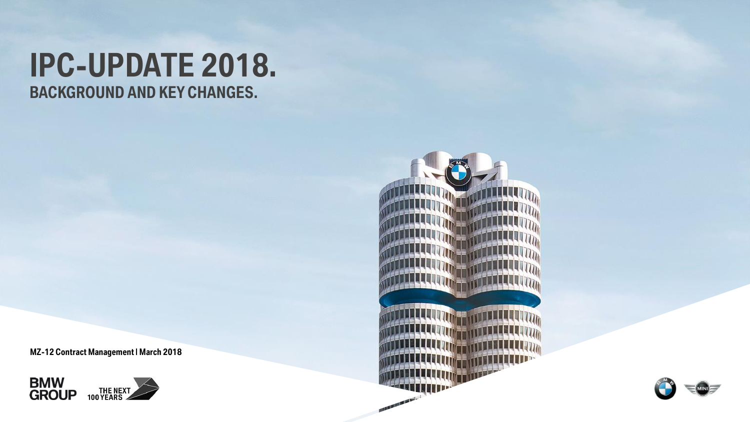# **IPC-UPDATE 2018. BACKGROUND AND KEY CHANGES.**

**MZ-12 Contract Management | March 2018**





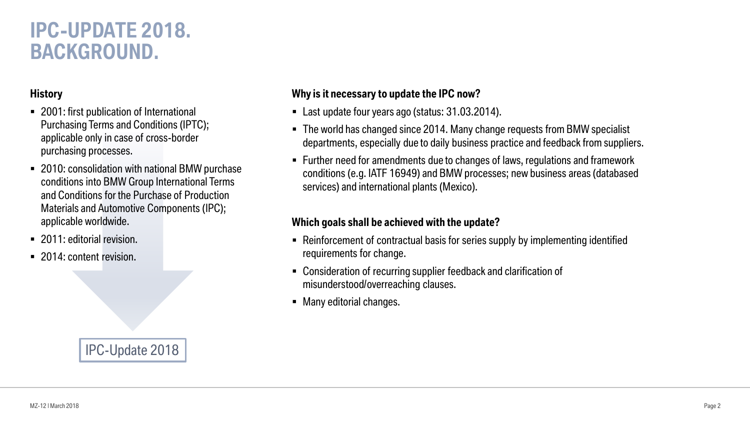## **IPC-UPDATE 2018. BACKGROUND.**

#### **History**

- 2001: first publication of International Purchasing Terms and Conditions (IPTC); applicable only in case of cross-border purchasing processes.
- 2010: consolidation with national BMW purchase conditions into BMW Group International Terms and Conditions for the Purchase of Production Materials and Automotive Components (IPC); applicable worldwide.
- 2011: editorial revision.
- 2014: content revision.

#### **Why is it necessary to update the IPC now?**

- Last update four years ago (status: 31.03.2014).
- The world has changed since 2014. Many change requests from BMW specialist departments, especially due to daily business practice and feedback from suppliers.
- Further need for amendments due to changes of laws, regulations and framework conditions (e.g. IATF 16949) and BMW processes; new business areas (databased services) and international plants (Mexico).

#### **Which goals shall be achieved with the update?**

- Reinforcement of contractual basis for series supply by implementing identified requirements for change.
- Consideration of recurring supplier feedback and clarification of misunderstood/overreaching clauses.
- Many editorial changes.

### IPC-Update 2018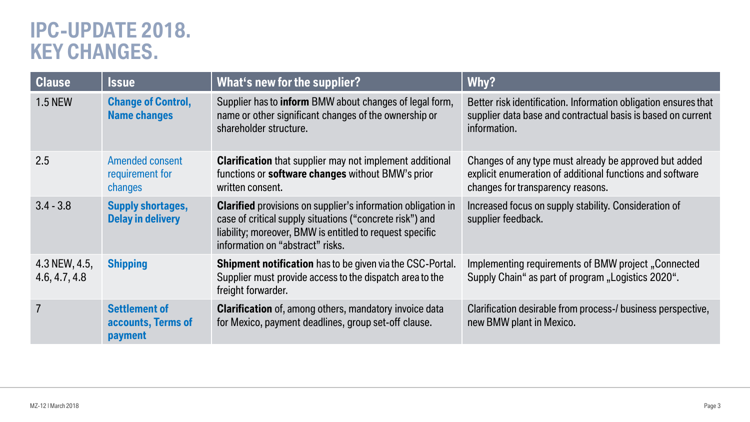### **IPC-UPDATE 2018. KEY CHANGES.**

| <b>Clause</b>                  | <b>Issue</b>                                                 | What's new for the supplier?                                                                                                                                                                                                    | Why?                                                                                                                                                     |
|--------------------------------|--------------------------------------------------------------|---------------------------------------------------------------------------------------------------------------------------------------------------------------------------------------------------------------------------------|----------------------------------------------------------------------------------------------------------------------------------------------------------|
| <b>1.5 NEW</b>                 | <b>Change of Control,</b><br><b>Name changes</b>             | Supplier has to <b>inform</b> BMW about changes of legal form,<br>name or other significant changes of the ownership or<br>shareholder structure.                                                                               | Better risk identification. Information obligation ensures that<br>supplier data base and contractual basis is based on current<br>information.          |
| 2.5                            | <b>Amended consent</b><br>requirement for<br>changes         | <b>Clarification</b> that supplier may not implement additional<br>functions or <b>software changes</b> without BMW's prior<br>written consent.                                                                                 | Changes of any type must already be approved but added<br>explicit enumeration of additional functions and software<br>changes for transparency reasons. |
| $3.4 - 3.8$                    | <b>Supply shortages,</b><br><b>Delay in delivery</b>         | <b>Clarified</b> provisions on supplier's information obligation in<br>case of critical supply situations ("concrete risk") and<br>liability; moreover, BMW is entitled to request specific<br>information on "abstract" risks. | Increased focus on supply stability. Consideration of<br>supplier feedback.                                                                              |
| 4.3 NEW, 4.5,<br>4.6, 4.7, 4.8 | <b>Shipping</b>                                              | Shipment notification has to be given via the CSC-Portal.<br>Supplier must provide access to the dispatch area to the<br>freight forwarder.                                                                                     | Implementing requirements of BMW project, Connected<br>Supply Chain" as part of program "Logistics 2020".                                                |
|                                | <b>Settlement of</b><br>accounts, Terms of<br><b>payment</b> | <b>Clarification</b> of, among others, mandatory invoice data<br>for Mexico, payment deadlines, group set-off clause.                                                                                                           | Clarification desirable from process-/ business perspective,<br>new BMW plant in Mexico.                                                                 |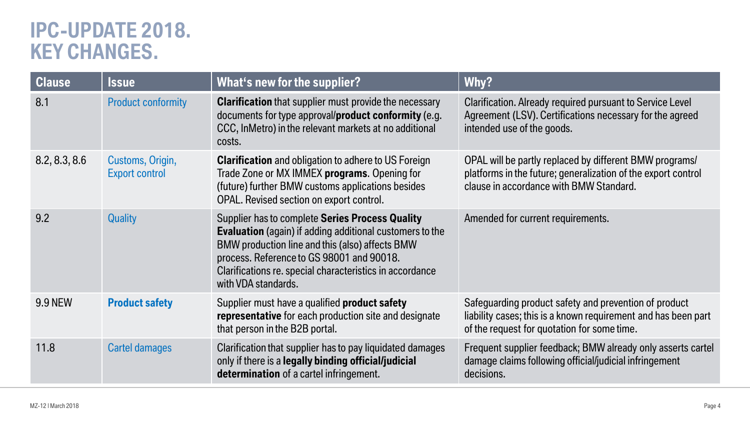## **IPC-UPDATE 2018. KEY CHANGES.**

| <b>Clause</b>  | <b>Issue</b>                              | What's new for the supplier?                                                                                                                                                                                                                                                                          | Why?                                                                                                                                                                   |
|----------------|-------------------------------------------|-------------------------------------------------------------------------------------------------------------------------------------------------------------------------------------------------------------------------------------------------------------------------------------------------------|------------------------------------------------------------------------------------------------------------------------------------------------------------------------|
| 8.1            | <b>Product conformity</b>                 | <b>Clarification</b> that supplier must provide the necessary<br>documents for type approval/product conformity (e.g.<br>CCC, In Metro) in the relevant markets at no additional<br>costs.                                                                                                            | Clarification. Already required pursuant to Service Level<br>Agreement (LSV). Certifications necessary for the agreed<br>intended use of the goods.                    |
| 8.2, 8.3, 8.6  | Customs, Origin,<br><b>Export control</b> | <b>Clarification</b> and obligation to adhere to US Foreign<br>Trade Zone or MX IMMEX programs. Opening for<br>(future) further BMW customs applications besides<br>OPAL. Revised section on export control.                                                                                          | OPAL will be partly replaced by different BMW programs/<br>platforms in the future; generalization of the export control<br>clause in accordance with BMW Standard.    |
| 9.2            | <b>Quality</b>                            | Supplier has to complete Series Process Quality<br><b>Evaluation</b> (again) if adding additional customers to the<br>BMW production line and this (also) affects BMW<br>process. Reference to GS 98001 and 90018.<br>Clarifications re. special characteristics in accordance<br>with VDA standards. | Amended for current requirements.                                                                                                                                      |
| <b>9.9 NEW</b> | <b>Product safety</b>                     | Supplier must have a qualified <b>product safety</b><br>representative for each production site and designate<br>that person in the B2B portal.                                                                                                                                                       | Safeguarding product safety and prevention of product<br>liability cases; this is a known requirement and has been part<br>of the request for quotation for some time. |
| 11.8           | <b>Cartel damages</b>                     | Clarification that supplier has to pay liquidated damages<br>only if there is a legally binding official/judicial<br>determination of a cartel infringement.                                                                                                                                          | Frequent supplier feedback; BMW already only asserts cartel<br>damage claims following official/judicial infringement<br>decisions.                                    |